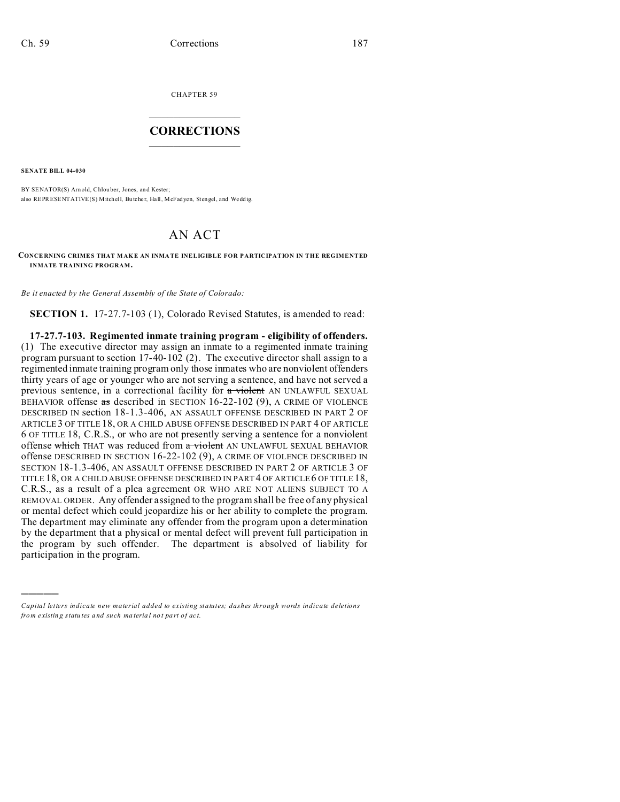CHAPTER 59  $\overline{\phantom{a}}$  , where  $\overline{\phantom{a}}$ 

## **CORRECTIONS**  $\frac{1}{2}$  ,  $\frac{1}{2}$  ,  $\frac{1}{2}$  ,  $\frac{1}{2}$  ,  $\frac{1}{2}$  ,  $\frac{1}{2}$

**SENATE BILL 04-030**

)))))

BY SENATOR(S) Arnold, Chlouber, Jones, and Kester; also REPRESENTATIVE(S) Mitchell, Butcher, Hall, McFadyen, Stengel, and Weddig.

## AN ACT

## **CONCE RNING CRIMES THAT M AK E AN INMA TE INELIGIBLE FOR PARTICIPATION IN THE REGIMENTED INMATE TRAINING PROGRAM.**

*Be it enacted by the General Assembly of the State of Colorado:*

**SECTION 1.** 17-27.7-103 (1), Colorado Revised Statutes, is amended to read:

**17-27.7-103. Regimented inmate training program - eligibility of offenders.** (1) The executive director may assign an inmate to a regimented inmate training program pursuant to section 17-40-102 (2). The executive director shall assign to a regimented inmate training program only those inmates who are nonviolent offenders thirty years of age or younger who are not serving a sentence, and have not served a previous sentence, in a correctional facility for a violent AN UNLAWFUL SEXUAL BEHAVIOR offense as described in SECTION 16-22-102 (9), A CRIME OF VIOLENCE DESCRIBED IN section 18-1.3-406, AN ASSAULT OFFENSE DESCRIBED IN PART 2 OF ARTICLE 3 OF TITLE 18, OR A CHILD ABUSE OFFENSE DESCRIBED IN PART 4 OF ARTICLE 6 OF TITLE 18, C.R.S., or who are not presently serving a sentence for a nonviolent offense which THAT was reduced from a violent AN UNLAWFUL SEXUAL BEHAVIOR offense DESCRIBED IN SECTION 16-22-102 (9), A CRIME OF VIOLENCE DESCRIBED IN SECTION 18-1.3-406, AN ASSAULT OFFENSE DESCRIBED IN PART 2 OF ARTICLE 3 OF TITLE 18, OR A CHILD ABUSE OFFENSE DESCRIBED IN PART 4 OF ARTICLE 6 OF TITLE 18, C.R.S., as a result of a plea agreement OR WHO ARE NOT ALIENS SUBJECT TO A REMOVAL ORDER. Any offender assigned to the program shall be free of any physical or mental defect which could jeopardize his or her ability to complete the program. The department may eliminate any offender from the program upon a determination by the department that a physical or mental defect will prevent full participation in the program by such offender. The department is absolved of liability for participation in the program.

*Capital letters indicate new material added to existing statutes; dashes through words indicate deletions from e xistin g statu tes a nd such ma teria l no t pa rt of ac t.*